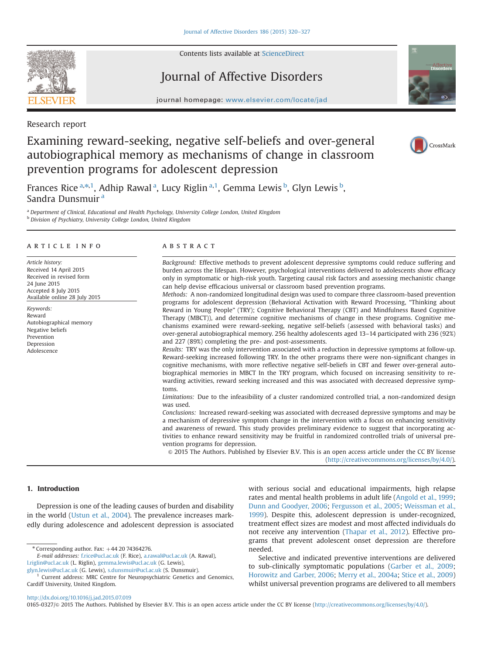Contents lists available at ScienceDirect

# Journal of Affective Disorders

journal homepage: <www.elsevier.com/locate/jad>

Research report

# Examining reward-seeking, negative self-beliefs and over-general autobiographical memory as mechanisms of change in classroom prevention programs for adolescent depression



Frances Rice <sup>a,\*,1</sup>, Adhip Rawal <sup>a</sup>, Lucy Riglin <sup>a,1</sup>, Gemma Lewis <sup>b</sup>, Glyn Lewis <sup>b</sup>, Sandra Dunsmuir <sup>a</sup>

<sup>a</sup> Department of Clinical, Educational and Health Psychology, University College London, United Kingdom **b Division of Psychiatry, University College London, United Kingdom** 

# article info

Article history: Received 14 April 2015 Received in revised form 24 June 2015 Accepted 8 July 2015 Available online 28 July 2015

Keywords: Reward Autobiographical memory Negative beliefs Prevention Depression Adolescence

# ABSTRACT

Background: Effective methods to prevent adolescent depressive symptoms could reduce suffering and burden across the lifespan. However, psychological interventions delivered to adolescents show efficacy only in symptomatic or high-risk youth. Targeting causal risk factors and assessing mechanistic change can help devise efficacious universal or classroom based prevention programs.

Methods: A non-randomized longitudinal design was used to compare three classroom-based prevention programs for adolescent depression (Behavioral Activation with Reward Processing, "Thinking about Reward in Young People" (TRY); Cognitive Behavioral Therapy (CBT) and Mindfulness Based Cognitive Therapy (MBCT)), and determine cognitive mechanisms of change in these programs. Cognitive mechanisms examined were reward-seeking, negative self-beliefs (assessed with behavioral tasks) and over-general autobiographical memory. 256 healthy adolescents aged 13–14 participated with 236 (92%) and 227 (89%) completing the pre- and post-assessments.

Results: TRY was the only intervention associated with a reduction in depressive symptoms at follow-up. Reward-seeking increased following TRY. In the other programs there were non-significant changes in cognitive mechanisms, with more reflective negative self-beliefs in CBT and fewer over-general autobiographical memories in MBCT In the TRY program, which focused on increasing sensitivity to rewarding activities, reward seeking increased and this was associated with decreased depressive symptoms.

Limitations: Due to the infeasibility of a cluster randomized controlled trial, a non-randomized design was used.

Conclusions: Increased reward-seeking was associated with decreased depressive symptoms and may be a mechanism of depressive symptom change in the intervention with a focus on enhancing sensitivity and awareness of reward. This study provides preliminary evidence to suggest that incorporating activities to enhance reward sensitivity may be fruitful in randomized controlled trials of universal prevention programs for depression.

& 2015 The Authors. Published by Elsevier B.V. This is an open access article under the CC BY license (http://creativecommons.org/licenses/by/4.0/).

# 1. Introduction

Depression is one of the leading causes of burden and disability in the world ([Ustun et al., 2004\)](#page-7-0). The prevalence increases markedly during adolescence and adolescent depression is associated

 $*$  Corresponding author. Fax:  $+44$  20 74364276.

E-mail addresses: [f.rice@ucl.ac.uk](mailto:f.rice@ucl.ac.uk) (F. Rice), [a.rawal@ucl.ac.uk](mailto:a.rawal@ucl.ac.uk) (A. Rawal), [l.riglin@ucl.ac.uk](mailto:l.riglin@ucl.ac.uk) (L. Riglin), [gemma.lewis@ucl.ac.uk](mailto:gemma.lewis@ucl.ac.uk) (G. Lewis),

[glyn.lewis@ucl.ac.uk](mailto:glyn.lewis@ucl.ac.uk) (G. Lewis), [s.dunsmuir@ucl.ac.uk](mailto:s.dunsmuir@ucl.ac.uk) (S. Dunsmuir).

with serious social and educational impairments, high relapse rates and mental health problems in adult life ([Angold et al., 1999;](#page-6-0) [Dunn and Goodyer, 2006](#page-6-0); [Fergusson et al., 2005](#page-6-0); [Weissman et al.,](#page-7-0) [1999](#page-7-0)). Despite this, adolescent depression is under-recognized, treatment effect sizes are modest and most affected individuals do not receive any intervention ([Thapar et al., 2012](#page-7-0)). Effective programs that prevent adolescent onset depression are therefore needed.

Selective and indicated preventive interventions are delivered to sub-clinically symptomatic populations [\(Garber et al., 2009;](#page-6-0) [Horowitz and Garber, 2006](#page-6-0); [Merry et al., 2004a](#page-7-0); [Stice et al., 2009\)](#page-7-0) whilst universal prevention programs are delivered to all members

0165-0327/@ 2015 The Authors. Published by Elsevier B.V. This is an open access article under the CC BY license (http://creativecommons.org/licenses/by/4.0/).



<sup>&</sup>lt;sup>1</sup> Current address: MRC Centre for Neuropsychiatric Genetics and Genomics, Cardiff University, United Kingdom.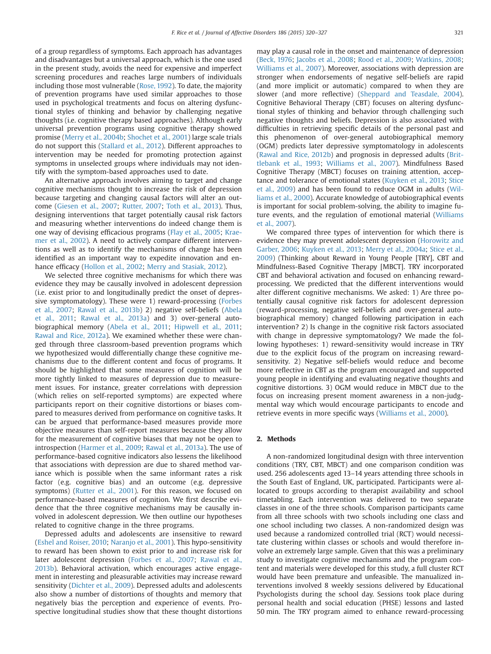of a group regardless of symptoms. Each approach has advantages and disadvantages but a universal approach, which is the one used in the present study, avoids the need for expensive and imperfect screening procedures and reaches large numbers of individuals including those most vulnerable [\(Rose, 1992\)](#page-7-0). To date, the majority of prevention programs have used similar approaches to those used in psychological treatments and focus on altering dysfunctional styles of thinking and behavior by challenging negative thoughts (i.e. cognitive therapy based approaches). Although early universal prevention programs using cognitive therapy showed promise [\(Merry et al., 2004b;](#page-7-0) [Shochet et al., 2001\)](#page-7-0) large scale trials do not support this ([Stallard et al., 2012\)](#page-7-0). Different approaches to intervention may be needed for promoting protection against symptoms in unselected groups where individuals may not identify with the symptom-based approaches used to date.

An alternative approach involves aiming to target and change cognitive mechanisms thought to increase the risk of depression because targeting and changing causal factors will alter an outcome [\(Giesen et al., 2007](#page-6-0); [Rutter, 2007;](#page-7-0) [Toth et al., 2013](#page-7-0)). Thus, designing interventions that target potentially causal risk factors and measuring whether interventions do indeed change them is one way of devising efficacious programs ([Flay et al., 2005](#page-6-0); [Krae](#page-6-0)[mer et al., 2002\)](#page-6-0). A need to actively compare different interventions as well as to identify the mechanisms of change has been identified as an important way to expedite innovation and enhance efficacy [\(Hollon et al., 2002;](#page-6-0) [Merry and Stasiak, 2012\)](#page-7-0).

We selected three cognitive mechanisms for which there was evidence they may be causally involved in adolescent depression (i.e. exist prior to and longitudinally predict the onset of depressive symptomatology). These were 1) reward-processing ([Forbes](#page-6-0) [et al., 2007](#page-6-0); [Rawal et al., 2013b\)](#page-7-0) 2) negative self-beliefs [\(Abela](#page-6-0) [et al., 2011;](#page-6-0) [Rawal et al., 2013a](#page-7-0)) and 3) over-general autobiographical memory ([Abela et al., 2011](#page-6-0); [Hipwell et al., 2011;](#page-6-0) [Rawal and Rice, 2012a](#page-7-0)). We examined whether these were changed through three classroom-based prevention programs which we hypothesized would differentially change these cognitive mechanisms due to the different content and focus of programs. It should be highlighted that some measures of cognition will be more tightly linked to measures of depression due to measurement issues. For instance, greater correlations with depression (which relies on self-reported symptoms) are expected where participants report on their cognitive distortions or biases compared to measures derived from performance on cognitive tasks. It can be argued that performance-based measures provide more objective measures than self-report measures because they allow for the measurement of cognitive biases that may not be open to introspection [\(Harmer et al., 2009;](#page-6-0) [Rawal et al., 2013a](#page-7-0)). The use of performance-based cognitive indicators also lessens the likelihood that associations with depression are due to shared method variance which is possible when the same informant rates a risk factor (e.g. cognitive bias) and an outcome (e.g. depressive symptoms) ([Rutter et al., 2001](#page-7-0)). For this reason, we focused on performance-based measures of cognition. We first describe evidence that the three cognitive mechanisms may be causally involved in adolescent depression. We then outline our hypotheses related to cognitive change in the three programs.

Depressed adults and adolescents are insensitive to reward ([Eshel and Roiser, 2010](#page-6-0); [Naranjo et al., 2001\)](#page-7-0). This hypo-sensitivity to reward has been shown to exist prior to and increase risk for later adolescent depression ([Forbes et al., 2007;](#page-6-0) [Rawal et al.,](#page-7-0) [2013b](#page-7-0)). Behavioral activation, which encourages active engagement in interesting and pleasurable activities may increase reward sensitivity ([Dichter et al., 2009\)](#page-6-0). Depressed adults and adolescents also show a number of distortions of thoughts and memory that negatively bias the perception and experience of events. Prospective longitudinal studies show that these thought distortions may play a causal role in the onset and maintenance of depression ([Beck, 1976](#page-6-0); [Jacobs et al., 2008;](#page-6-0) [Rood et al., 2009](#page-7-0); [Watkins, 2008;](#page-7-0) [Williams et al., 2007](#page-7-0)). Moreover, associations with depression are stronger when endorsements of negative self-beliefs are rapid (and more implicit or automatic) compared to when they are slower (and more reflective) [\(Sheppard and Teasdale, 2004\)](#page-7-0). Cognitive Behavioral Therapy (CBT) focuses on altering dysfunctional styles of thinking and behavior through challenging such negative thoughts and beliefs. Depression is also associated with difficulties in retrieving specific details of the personal past and this phenomenon of over-general autobiographical memory (OGM) predicts later depressive symptomatology in adolescents ([Rawal and Rice, 2012b](#page-7-0)) and prognosis in depressed adults [\(Brit](#page-6-0)[tlebank et al., 1993;](#page-6-0) [Williams et al., 2007](#page-7-0)). Mindfulness Based Cognitive Therapy (MBCT) focuses on training attention, acceptance and tolerance of emotional states [\(Kuyken et al., 2013](#page-7-0); [Stice](#page-7-0) [et al., 2009](#page-7-0)) and has been found to reduce OGM in adults ([Wil](#page-7-0)[liams et al., 2000](#page-7-0)). Accurate knowledge of autobiographical events is important for social problem-solving, the ability to imagine future events, and the regulation of emotional material ([Williams](#page-7-0) [et al., 2007](#page-7-0)).

We compared three types of intervention for which there is evidence they may prevent adolescent depression [\(Horowitz and](#page-6-0) [Garber, 2006;](#page-6-0) [Kuyken et al., 2013;](#page-7-0) [Merry et al., 2004a](#page-7-0); [Stice et al.,](#page-7-0) [2009\)](#page-7-0) (Thinking about Reward in Young People [TRY], CBT and Mindfulness-Based Cognitive Therapy [MBCT]. TRY incorporated CBT and behavioral activation and focused on enhancing rewardprocessing. We predicted that the different interventions would alter different cognitive mechanisms. We asked: 1) Are three potentially causal cognitive risk factors for adolescent depression (reward-processing, negative self-beliefs and over-general autobiographical memory) changed following participation in each intervention? 2) Is change in the cognitive risk factors associated with change in depressive symptomatology? We made the following hypotheses: 1) reward-sensitivity would increase in TRY due to the explicit focus of the program on increasing rewardsensitivity. 2) Negative self-beliefs would reduce and become more reflective in CBT as the program encouraged and supported young people in identifying and evaluating negative thoughts and cognitive distortions. 3) OGM would reduce in MBCT due to the focus on increasing present moment awareness in a non-judgmental way which would encourage participants to encode and retrieve events in more specific ways ([Williams et al., 2000](#page-7-0)).

# 2. Methods

A non-randomized longitudinal design with three intervention conditions (TRY, CBT, MBCT) and one comparison condition was used. 256 adolescents aged 13–14 years attending three schools in the South East of England, UK, participated. Participants were allocated to groups according to therapist availability and school timetabling. Each intervention was delivered to two separate classes in one of the three schools. Comparison participants came from all three schools with two schools including one class and one school including two classes. A non-randomized design was used because a randomized controlled trial (RCT) would necessitate clustering within classes or schools and would therefore involve an extremely large sample. Given that this was a preliminary study to investigate cognitive mechanisms and the program content and materials were developed for this study, a full cluster RCT would have been premature and unfeasible. The manualized interventions involved 8 weekly sessions delivered by Educational Psychologists during the school day. Sessions took place during personal health and social education (PHSE) lessons and lasted 50 min. The TRY program aimed to enhance reward-processing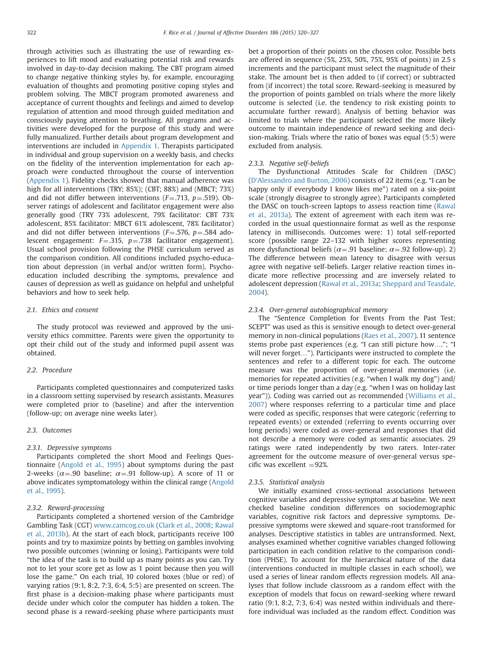through activities such as illustrating the use of rewarding experiences to lift mood and evaluating potential risk and rewards involved in day-to-day decision making. The CBT program aimed to change negative thinking styles by, for example, encouraging evaluation of thoughts and promoting positive coping styles and problem solving. The MBCT program promoted awareness and acceptance of current thoughts and feelings and aimed to develop regulation of attention and mood through guided meditation and consciously paying attention to breathing. All programs and activities were developed for the purpose of this study and were fully manualized. Further details about program development and interventions are included in [Appendix 1](#page-6-0). Therapists participated in individual and group supervision on a weekly basis, and checks on the fidelity of the intervention implementation for each approach were conducted throughout the course of intervention ([Appendix 1\)](#page-6-0). Fidelity checks showed that manual adherence was high for all interventions (TRY; 85%); (CBT; 88%) and (MBCT; 73%) and did not differ between interventions  $(F = .713, p = .519)$ . Observer ratings of adolescent and facilitator engagement were also generally good (TRY 73% adolescent, 79% facilitator: CBT 73% adolescent, 85% facilitator: MBCT 61% adolescent, 78% facilitator) and did not differ between interventions ( $F = .576$ ,  $p = .584$  adolescent engagement:  $F = .315$ ,  $p = .738$  facilitator engagement). Usual school provision following the PHSE curriculum served as the comparison condition. All conditions included psycho-education about depression (in verbal and/or written form). Psychoeducation included describing the symptoms, prevalence and causes of depression as well as guidance on helpful and unhelpful behaviors and how to seek help.

# 2.1. Ethics and consent

The study protocol was reviewed and approved by the university ethics committee. Parents were given the opportunity to opt their child out of the study and informed pupil assent was obtained.

# 2.2. Procedure

Participants completed questionnaires and computerized tasks in a classroom setting supervised by research assistants. Measures were completed prior to (baseline) and after the intervention (follow-up; on average nine weeks later).

# 2.3. Outcomes

## 2.3.1. Depressive symptoms

Participants completed the short Mood and Feelings Questionnaire ([Angold et al., 1995\)](#page-6-0) about symptoms during the past 2-weeks ( $\alpha$ =.90 baseline;  $\alpha$ =.91 follow-up). A score of 11 or above indicates symptomatology within the clinical range ([Angold](#page-6-0) [et al., 1995\)](#page-6-0).

# 2.3.2. Reward-processing

Participants completed a shortened version of the Cambridge Gambling Task (CGT) [www.camcog.co.uk](http://www.camcog.co.uk) ([Clark et al., 2008;](#page-6-0) [Rawal](#page-7-0) [et al., 2013b\)](#page-7-0). At the start of each block, participants receive 100 points and try to maximize points by betting on gambles involving two possible outcomes (winning or losing). Participants were told "the idea of the task is to build up as many points as you can. Try not to let your score get as low as 1 point because then you will lose the game." On each trial, 10 colored boxes (blue or red) of varying ratios (9:1, 8:2, 7:3, 6:4, 5:5) are presented on screen. The first phase is a decision-making phase where participants must decide under which color the computer has hidden a token. The second phase is a reward-seeking phase where participants must bet a proportion of their points on the chosen color. Possible bets are offered in sequence (5%, 25%, 50%, 75%, 95% of points) in 2.5 s increments and the participant must select the magnitude of their stake. The amount bet is then added to (if correct) or subtracted from (if incorrect) the total score. Reward-seeking is measured by the proportion of points gambled on trials where the more likely outcome is selected (i.e. the tendency to risk existing points to accumulate further reward). Analysis of betting behavior was limited to trials where the participant selected the more likely outcome to maintain independence of reward seeking and decision-making. Trials where the ratio of boxes was equal (5:5) were excluded from analysis.

## 2.3.3. Negative self-beliefs

The Dysfunctional Attitudes Scale for Children (DASC) (D'[Alessandro and Burton, 2006\)](#page-6-0) consists of 22 items (e.g. "I can be happy only if everybody I know likes me") rated on a six-point scale (strongly disagree to strongly agree). Participants completed the DASC on touch-screen laptops to assess reaction time [\(Rawal](#page-7-0) [et al., 2013a\)](#page-7-0). The extent of agreement with each item was recorded in the usual questionnaire format as well as the response latency in milliseconds. Outcomes were: 1) total self-reported score (possible range 22–132 with higher scores representing more dysfunctional beliefs ( $\alpha$  = .91 baseline;  $\alpha$  = .92 follow-up). 2) The difference between mean latency to disagree with versus agree with negative self-beliefs. Larger relative reaction times indicate more reflective processing and are inversely related to adolescent depression [\(Rawal et al., 2013a](#page-7-0); [Sheppard and Teasdale,](#page-7-0) [2004](#page-7-0)).

## 2.3.4. Over-general autobiographical memory

The "Sentence Completion for Events From the Past Test; SCEPT" was used as this is sensitive enough to detect over-general memory in non-clinical populations ([Raes et al., 2007](#page-7-0)). 11 sentence stems probe past experiences (e.g. "I can still picture how…."; "I will never forget…"). Participants were instructed to complete the sentences and refer to a different topic for each. The outcome measure was the proportion of over-general memories (i.e. memories for repeated activities (e.g. "when I walk my dog") and/ or time periods longer than a day (e.g. "when I was on holiday last year")). Coding was carried out as recommended [\(Williams et al.,](#page-7-0) [2007\)](#page-7-0) where responses referring to a particular time and place were coded as specific, responses that were categoric (referring to repeated events) or extended (referring to events occurring over long periods) were coded as over-general and responses that did not describe a memory were coded as semantic associates. 29 ratings were rated independently by two raters. Inter-rater agreement for the outcome measure of over-general versus specific was excellent  $=92\%$ .

## 2.3.5. Statistical analysis

We initially examined cross-sectional associations between cognitive variables and depressive symptoms at baseline. We next checked baseline condition differences on sociodemographic variables, cognitive risk factors and depressive symptoms. Depressive symptoms were skewed and square-root transformed for analyses. Descriptive statistics in tables are untransformed. Next, analyses examined whether cognitive variables changed following participation in each condition relative to the comparison condition (PHSE). To account for the hierarchical nature of the data (interventions conducted in multiple classes in each school), we used a series of linear random effects regression models. All analyses that follow include classroom as a random effect with the exception of models that focus on reward-seeking where reward ratio (9:1, 8:2, 7:3, 6:4) was nested within individuals and therefore individual was included as the random effect. Condition was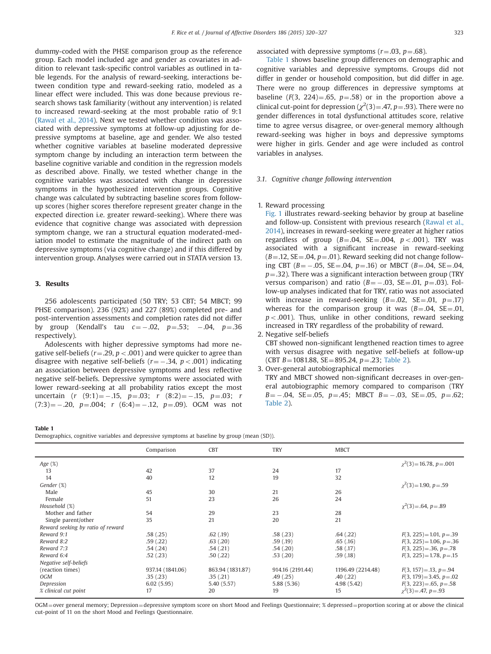dummy-coded with the PHSE comparison group as the reference group. Each model included age and gender as covariates in addition to relevant task-specific control variables as outlined in table legends. For the analysis of reward-seeking, interactions between condition type and reward-seeking ratio, modeled as a linear effect were included. This was done because previous research shows task familiarity (without any intervention) is related to increased reward-seeking at the most probable ratio of 9:1 ([Rawal et al., 2014](#page-7-0)). Next we tested whether condition was associated with depressive symptoms at follow-up adjusting for depressive symptoms at baseline, age and gender. We also tested whether cognitive variables at baseline moderated depressive symptom change by including an interaction term between the baseline cognitive variable and condition in the regression models as described above. Finally, we tested whether change in the cognitive variables was associated with change in depressive symptoms in the hypothesized intervention groups. Cognitive change was calculated by subtracting baseline scores from followup scores (higher scores therefore represent greater change in the expected direction i.e. greater reward-seeking). Where there was evidence that cognitive change was associated with depression symptom change, we ran a structural equation moderated-mediation model to estimate the magnitude of the indirect path on depressive symptoms (via cognitive change) and if this differed by intervention group. Analyses were carried out in STATA version 13.

# 3. Results

256 adolescents participated (50 TRY; 53 CBT; 54 MBCT; 99 PHSE comparison). 236 (92%) and 227 (89%) completed pre- and post-intervention assessments and completion rates did not differ by group (Kendall's tau  $c = -.02$ ,  $p = .53$ ;  $-.04$ ,  $p = .36$ respectively).

Adolescents with higher depressive symptoms had more negative self-beliefs ( $r = .29$ ,  $p < .001$ ) and were quicker to agree than disagree with negative self-beliefs ( $r = -0.34$ ,  $p < 0.001$ ) indicating an association between depressive symptoms and less reflective negative self-beliefs. Depressive symptoms were associated with lower reward-seeking at all probability ratios except the most uncertain  $(r (9:1) = -.15, p = .03; r (8:2) = -.15, p = .03; r$  $(7.3)$ =  $-.20$ ,  $p = .004$ ;  $r (6.4)$ =  $-.12$ ,  $p = .09$ ). OGM was not

associated with depressive symptoms ( $r = .03$ ,  $p = .68$ ).

Table 1 shows baseline group differences on demographic and cognitive variables and depressive symptoms. Groups did not differ in gender or household composition, but did differ in age. There were no group differences in depressive symptoms at baseline ( $F(3, 224) = .65$ ,  $p = .58$ ) or in the proportion above a clinical cut-point for depression ( $\chi^2(3) = .47$ ,  $p = .93$ ). There were no gender differences in total dysfunctional attitudes score, relative time to agree versus disagree, or over-general memory although reward-seeking was higher in boys and depressive symptoms were higher in girls. Gender and age were included as control variables in analyses.

# 3.1. Cognitive change following intervention

## 1. Reward processing

[Fig. 1](#page-4-0) illustrates reward-seeking behavior by group at baseline and follow-up. Consistent with previous research ([Rawal et al.,](#page-7-0) [2014](#page-7-0)), increases in reward-seeking were greater at higher ratios regardless of group  $(B=.04, SE=.004, p<.001)$ . TRY was associated with a significant increase in reward-seeking  $(B=.12, SE=.04, p=.01)$ . Reward seeking did not change following CBT ( $B = -.05$ ,  $SE = .04$ ,  $p = .16$ ) or MBCT ( $B = .04$ ,  $SE = .04$ )  $p = 0.32$ ). There was a significant interaction between group (TRY versus comparison) and ratio  $(B=-.03, \text{ SE}=.01, p=.03)$ . Follow-up analyses indicated that for TRY, ratio was not associated with increase in reward-seeking  $(B=.02, SE=.01, p=.17)$ whereas for the comparison group it was  $(B=.04, SE=.01,$  $p < .001$ ). Thus, unlike in other conditions, reward seeking increased in TRY regardless of the probability of reward.

2. Negative self-beliefs CBT showed non-significant lengthened reaction times to agree with versus disagree with negative self-beliefs at follow-up (CBT  $B = 1081.88$ , SE = 895.24, p = .23; [Table 2\)](#page-4-0).

3. Over-general autobiographical memories TRY and MBCT showed non-significant decreases in over-general autobiographic memory compared to comparison (TRY  $B = -.04$ , SE = 0.05,  $p = .45$ ; MBCT  $B = -.03$ , SE = 0.05,  $p = .62$ ; [Table 2\)](#page-4-0).

#### Table 1

Demographics, cognitive variables and depressive symptoms at baseline by group (mean (SD)).

|                                   | Comparison       | <b>CBT</b>       | <b>TRY</b>       | <b>MBCT</b>       |                             |
|-----------------------------------|------------------|------------------|------------------|-------------------|-----------------------------|
| Age $(\%)$                        |                  |                  |                  |                   | $y^2(3) = 16.78$ , p = 001  |
| 13                                | 42               | 37               | 24               | 17                |                             |
| 14                                | 40               | 12               | 19               | 32                |                             |
| Gender (%)                        |                  |                  |                  |                   | $\chi^2(3)$ =1.90, p=.59    |
| Male                              | 45               | 30               | 21               | 26                |                             |
| Female                            | 51               | 23               | 26               | 24                |                             |
| Household (%)                     |                  |                  |                  |                   | $\gamma^2(3) = .64$ , p=.89 |
| Mother and father                 | 54               | 29               | 23               | 28                |                             |
| Single parent/other               | 35               | 21               | 20               | 21                |                             |
| Reward seeking by ratio of reward |                  |                  |                  |                   |                             |
| Reward 9:1                        | .58(.25)         | .62(.19)         | .58(.23)         | .64(.22)          | $F(3, 225) = 1.01, p = .39$ |
| Reward 8:2                        | .59(.22)         | .63(.20)         | .59(.19)         | .65(0.16)         | $F(3, 225) = 1.06, p = .36$ |
| Reward 7:3                        | .54(.24)         | .54(.21)         | .54(.20)         | .58(.17)          | $F(3, 225) = .36, p = .78$  |
| Reward 6:4                        | .52(.23)         | .50(.22)         | .53(.20)         | .59(.18)          | $F(3, 225) = 1.78, p = .15$ |
| Negative self-beliefs             |                  |                  |                  |                   |                             |
| (reaction times)                  | 937.14 (1841.06) | 863.94 (1831.87) | 914.16 (2191.44) | 1196.49 (2214.48) | $F(3, 157) = .13, p = .94$  |
| <b>OGM</b>                        | .35(.23)         | .35(.21)         | .49(.25)         | .40(.22)          | $F(3, 179) = 3.45, p = .02$ |
| Depression                        | 6.02(5.95)       | 5.40 (5.57)      | 5.88 (5.36)      | 4.98(5.42)        | $F(3, 223) = .65, p = .58$  |
| % clinical cut point              | 17               | 20               | 19               | 15                | $\chi^2(3) = .47, p = .93$  |

OGM=over general memory; Depression=depressive symptom score on short Mood and Feelings Questionnaire; % depressed=proportion scoring at or above the clinical cut-point of 11 on the short Mood and Feelings Questionnaire.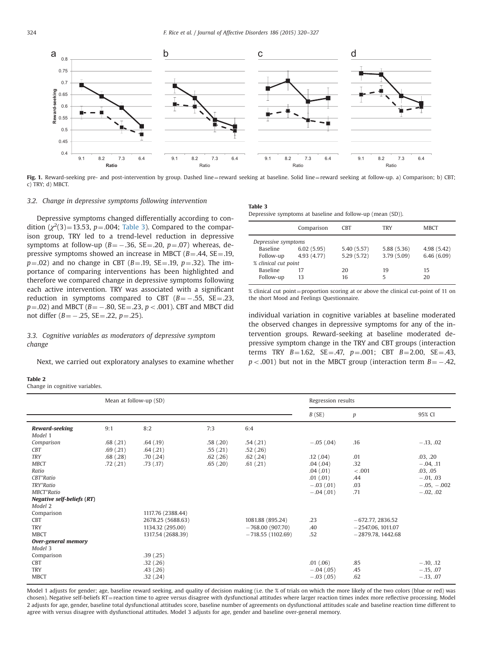<span id="page-4-0"></span>

Fig. 1. Reward-seeking pre- and post-intervention by group. Dashed line=reward seeking at baseline. Solid line=reward seeking at follow-up. a) Comparison; b) CBT; c) TRY; d) MBCT.

## 3.2. Change in depressive symptoms following intervention

Depressive symptoms changed differentially according to condition  $(\chi^2(3)=13.53, p=.004;$  Table 3). Compared to the comparison group, TRY led to a trend-level reduction in depressive symptoms at follow-up ( $B = -.36$ ,  $SE = .20$ ,  $p = .07$ ) whereas, depressive symptoms showed an increase in MBCT ( $B = .44$ ,  $SE = .19$ .  $p=.02$ ) and no change in CBT ( $B=.19$ ,  $SE=.19$ ,  $p=.32$ ). The importance of comparing interventions has been highlighted and therefore we compared change in depressive symptoms following each active intervention. TRY was associated with a significant reduction in symptoms compared to CBT  $(B=-.55, SE=.23,$  $p = .02$ ) and MBCT ( $B = -.80$ , SE = .23,  $p < .001$ ). CBT and MBCT did not differ ( $B = -.25$ , SE = .22,  $p = .25$ ).

# 3.3. Cognitive variables as moderators of depressive symptom change

Next, we carried out exploratory analyses to examine whether

#### Table 3

Depressive symptoms at baseline and follow-up (mean (SD)).

|                                                                                                      | Comparison                           | <b>CBT</b>                            | <b>TRY</b>                            | <b>MBCT</b>                          |
|------------------------------------------------------------------------------------------------------|--------------------------------------|---------------------------------------|---------------------------------------|--------------------------------------|
| Depressive symptoms<br>Baseline<br>Follow-up<br>% clinical cut point<br><b>Baseline</b><br>Follow-up | 6.02(5.95)<br>4.93(4.77)<br>17<br>13 | 5.40 (5.57)<br>5.29(5.72)<br>20<br>16 | 5.88 (5.36)<br>3.79 (5.09)<br>19<br>5 | 4.98(5.42)<br>6.46(6.09)<br>15<br>20 |

% clinical cut point=proportion scoring at or above the clinical cut-point of 11 on the short Mood and Feelings Questionnaire.

individual variation in cognitive variables at baseline moderated the observed changes in depressive symptoms for any of the intervention groups. Reward-seeking at baseline moderated depressive symptom change in the TRY and CBT groups (interaction terms TRY  $B=1.62$ , SE = .47,  $p=.001$ ; CBT  $B=2.00$ , SE = .43,  $p < .001$ ) but not in the MBCT group (interaction term  $B = -.42$ ,

### Table 2

Change in cognitive variables.

| Mean at follow-up (SD)                                                               | Regression results |  |  |
|--------------------------------------------------------------------------------------|--------------------|--|--|
| B(SE)<br>p                                                                           | 95% CI             |  |  |
| 8:2<br>6:4<br>Reward-seeking<br>9:1<br>7:3                                           |                    |  |  |
| Model 1                                                                              |                    |  |  |
| Comparison<br>.16<br>.68(.21)<br>.64(.19)<br>.58(.20)<br>.54(.21)<br>$-.05(.04)$     | $-.13, .02$        |  |  |
| CBT<br>.52(.26)<br>.69(.21)<br>.64(.21)<br>.55(.21)                                  |                    |  |  |
| .01<br><b>TRY</b><br>.68(.28)<br>.70(.24)<br>.62(.24)<br>.12(.04)<br>.62(.26)        | .03, .20           |  |  |
| .32<br><b>MBCT</b><br>.61(.21)<br>.04(.04)<br>.72(.21)<br>.73(.17)<br>.65(.20)       | $-.04, .11$        |  |  |
| Ratio<br>.04(.01)<br>$-.001$                                                         | .03, .05           |  |  |
| CBT*Ratio<br>.01(.01)<br>.44                                                         | $-.01, .03$        |  |  |
| TRY*Ratio<br>.03<br>$-.03(.01)$                                                      | $-.05, -.002$      |  |  |
| MBCT*Ratio<br>$-.04(.01)$<br>.71                                                     | $-.02, .02$        |  |  |
| <b>Negative self-beliefs (RT)</b>                                                    |                    |  |  |
| Model 2                                                                              |                    |  |  |
| Comparison<br>1117.76 (2388.44)                                                      |                    |  |  |
| <b>CBT</b><br>.23<br>2678.25 (5688.63)<br>1081.88 (895.24)<br>$-672.77, 2836.52$     |                    |  |  |
| .40<br><b>TRY</b><br>1134.32 (295.00)<br>$-768.00(907.70)$<br>$-2547.06, 1011.07$    |                    |  |  |
| .52<br><b>MBCT</b><br>1317.54 (2688.39)<br>$-718.55(1102.69)$<br>$-2879.78, 1442.68$ |                    |  |  |
| Over-general memory                                                                  |                    |  |  |
| Model 3                                                                              |                    |  |  |
| Comparison<br>.39(.25)                                                               |                    |  |  |
| <b>CBT</b><br>.01(.06)<br>.85<br>.32(.26)                                            | $-.10, .12$        |  |  |
| <b>TRY</b><br>.45<br>.43(.26)<br>$-.04(.05)$                                         | $-.15, .07$        |  |  |
| <b>MBCT</b><br>.62<br>.32(.24)<br>$-.03(.05)$                                        | $-.13, .07$        |  |  |

Model 1 adjusts for gender; age, baseline reward seeking, and quality of decision making (i.e. the % of trials on which the more likely of the two colors (blue or red) was  $\alpha$ chosen). Negative self-beliefs RT=reaction time to agree versus disagree with dysfunctional attitudes where larger reaction times index more reflective processing. Model 2 adjusts for age, gender, baseline total dysfunctional attitudes score, baseline number of agreements on dysfunctional attitudes scale and baseline reaction time different to agree with versus disagree with dysfunctional attitudes. Model 3 adjusts for age, gender and baseline over-general memory.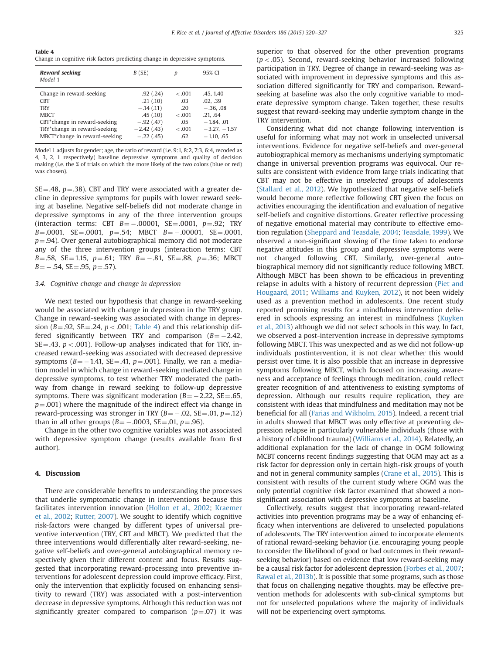Table 4 Change in cognitive risk factors predicting change in depressive symptoms.

| Reward seeking<br>Model 1                                                                                                                                            | B(SE)                                                                                           | р                                                       | 95% CI                                                                                         |
|----------------------------------------------------------------------------------------------------------------------------------------------------------------------|-------------------------------------------------------------------------------------------------|---------------------------------------------------------|------------------------------------------------------------------------------------------------|
| Change in reward-seeking<br><b>CBT</b><br><b>TRY</b><br><b>MBCT</b><br>CBT*change in reward-seeking<br>TRY*change in reward-seeking<br>MBCT*change in reward-seeking | .92( .24)<br>.21(.10)<br>$-.14(.11)$<br>.45(.10)<br>$-.92(.47)$<br>$-2.42(0.43)$<br>$-.22(.45)$ | < .001<br>.03<br>.20<br>< .001<br>.05<br>$-.001$<br>.62 | .45, 1.40<br>.02.39<br>$-.36.08$<br>.21. .64<br>$-1.84. .01$<br>$-3.27, -1.57$<br>$-1.10, .65$ |

Model 1 adjusts for gender; age, the ratio of reward (i.e. 9:1, 8:2, 7:3, 6:4, recoded as 4, 3, 2, 1 respectively) baseline depressive symptoms and quality of decision making (i.e. the % of trials on which the more likely of the two colors (blue or red) was chosen).

 $SE = .48$ ,  $p = .38$ ). CBT and TRY were associated with a greater decline in depressive symptoms for pupils with lower reward seeking at baseline. Negative self-beliefs did not moderate change in depressive symptoms in any of the three intervention groups (interaction terms: CBT  $B = -.00001$ , SE  $= .0001$ ,  $p = .92$ ; TRY  $B = .0001$ ,  $SE = .0001$ ,  $p = .54$ ; MBCT  $B = -.00001$ ,  $SE = .0001$ ,  $p = .94$ ). Over general autobiographical memory did not moderate any of the three intervention groups (interaction terms: CBT  $B = .58$ ,  $SE = 1.15$ ,  $p = .61$ ; TRY  $B = -.81$ ,  $SE = .88$ ,  $p = .36$ ; MBCT  $B = -.54$ , SE $= .95$ ,  $p = .57$ ).

# 3.4. Cognitive change and change in depression

We next tested our hypothesis that change in reward-seeking would be associated with change in depression in the TRY group. Change in reward-seeking was associated with change in depression ( $B = .92$ ,  $SE = .24$ ,  $p < .001$ ; Table 4) and this relationship differed significantly between TRY and comparison  $(B = -2.42,$  $SE = .43$ ,  $p < .001$ ). Follow-up analyses indicated that for TRY, increased reward-seeking was associated with decreased depressive symptoms ( $B = -1.41$ ,  $SE = .41$ ,  $p = .001$ ). Finally, we ran a mediation model in which change in reward-seeking mediated change in depressive symptoms, to test whether TRY moderated the pathway from change in reward seeking to follow-up depressive symptoms. There was significant moderation  $(B = -2.22, SE = .65,$  $p=.001$ ) where the magnitude of the indirect effect via change in reward-processing was stronger in TRY  $(B = -.02, SE = .01, p = .12)$ than in all other groups  $(B = -.0003, SE = .01, p = .96)$ .

Change in the other two cognitive variables was not associated with depressive symptom change (results available from first author).

## 4. Discussion

There are considerable benefits to understanding the processes that underlie symptomatic change in interventions because this facilitates intervention innovation ([Hollon et al., 2002](#page-6-0); [Kraemer](#page-6-0) [et al., 2002](#page-6-0); [Rutter, 2007](#page-7-0)). We sought to identify which cognitive risk-factors were changed by different types of universal preventive intervention (TRY, CBT and MBCT). We predicted that the three interventions would differentially alter reward-seeking, negative self-beliefs and over-general autobiographical memory respectively given their different content and focus. Results suggested that incorporating reward-processing into preventive interventions for adolescent depression could improve efficacy. First, only the intervention that explicitly focused on enhancing sensitivity to reward (TRY) was associated with a post-intervention decrease in depressive symptoms. Although this reduction was not significantly greater compared to comparison ( $p = .07$ ) it was superior to that observed for the other prevention programs  $(p < .05)$ . Second, reward-seeking behavior increased following participation in TRY. Degree of change in reward-seeking was associated with improvement in depressive symptoms and this association differed significantly for TRY and comparison. Rewardseeking at baseline was also the only cognitive variable to moderate depressive symptom change. Taken together, these results suggest that reward-seeking may underlie symptom change in the TRY intervention.

Considering what did not change following intervention is useful for informing what may not work in unselected universal interventions. Evidence for negative self-beliefs and over-general autobiographical memory as mechanisms underlying symptomatic change in universal prevention programs was equivocal. Our results are consistent with evidence from large trials indicating that CBT may not be effective in unselected groups of adolescents ([Stallard et al., 2012](#page-7-0)). We hypothesized that negative self-beliefs would become more reflective following CBT given the focus on activities encouraging the identification and evaluation of negative self-beliefs and cognitive distortions. Greater reflective processing of negative emotional material may contribute to effective emotion regulation ([Sheppard and Teasdale, 2004](#page-7-0); [Teasdale, 1999\)](#page-7-0). We observed a non-significant slowing of the time taken to endorse negative attitudes in this group and depressive symptoms were not changed following CBT. Similarly, over-general autobiographical memory did not significantly reduce following MBCT. Although MBCT has been shown to be efficacious in preventing relapse in adults with a history of recurrent depression ([Piet and](#page-7-0) [Hougaard, 2011](#page-7-0); [Williams and Kuyken, 2012](#page-7-0)), it not been widely used as a prevention method in adolescents. One recent study reported promising results for a mindfulness intervention delivered in schools expressing an interest in mindfulness [\(Kuyken](#page-7-0) [et al., 2013](#page-7-0)) although we did not select schools in this way. In fact, we observed a post-intervention increase in depressive symptoms following MBCT. This was unexpected and as we did not follow-up individuals postintervention, it is not clear whether this would persist over time. It is also possible that an increase in depressive symptoms following MBCT, which focused on increasing awareness and acceptance of feelings through meditation, could reflect greater recognition of and attentiveness to existing symptoms of depression. Although our results require replication, they are consistent with ideas that mindfulness and meditation may not be beneficial for all ([Farias and Wikholm, 2015\)](#page-6-0). Indeed, a recent trial in adults showed that MBCT was only effective at preventing depression relapse in particularly vulnerable individuals (those with a history of childhood trauma) [\(Williams et al., 2014\)](#page-7-0). Relatedly, an additional explanation for the lack of change in OGM following MCBT concerns recent findings suggesting that OGM may act as a risk factor for depression only in certain high-risk groups of youth and not in general community samples ([Crane et al., 2015](#page-6-0)). This is consistent with results of the current study where OGM was the only potential cognitive risk factor examined that showed a nonsignificant association with depressive symptoms at baseline.

Collectively, results suggest that incorporating reward-related activities into prevention programs may be a way of enhancing efficacy when interventions are delivered to unselected populations of adolescents. The TRY intervention aimed to incorporate elements of rational reward-seeking behavior (i.e. encouraging young people to consider the likelihood of good or bad outcomes in their rewardseeking behavior) based on evidence that low reward-seeking may be a causal risk factor for adolescent depression ([Forbes et al., 2007;](#page-6-0) [Rawal et al., 2013b](#page-7-0)). It is possible that some programs, such as those that focus on challenging negative thoughts, may be effective prevention methods for adolescents with sub-clinical symptoms but not for unselected populations where the majority of individuals will not be experiencing overt symptoms.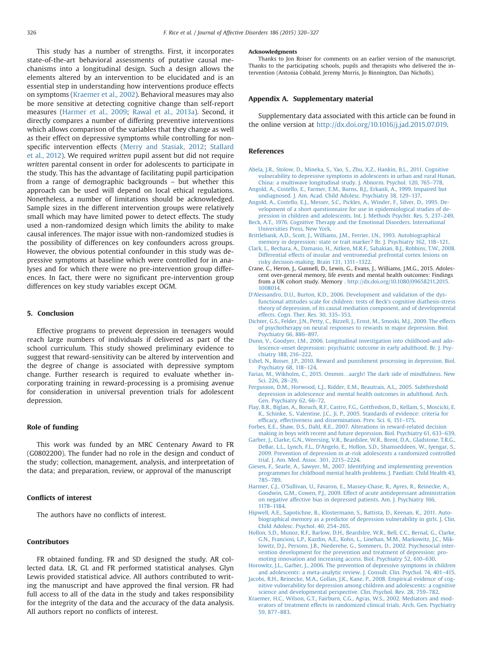<span id="page-6-0"></span>This study has a number of strengths. First, it incorporates state-of-the-art behavioral assessments of putative causal mechanisms into a longitudinal design. Such a design allows the elements altered by an intervention to be elucidated and is an essential step in understanding how interventions produce effects on symptoms (Kraemer et al., 2002). Behavioral measures may also be more sensitive at detecting cognitive change than self-report measures (Harmer et al., 2009; [Rawal et al., 2013a](#page-7-0)). Second, it directly compares a number of differing preventive interventions which allows comparison of the variables that they change as well as their effect on depressive symptoms while controlling for nonspecific intervention effects [\(Merry and Stasiak, 2012;](#page-7-0) [Stallard](#page-7-0) [et al., 2012](#page-7-0)). We required written pupil assent but did not require written parental consent in order for adolescents to participate in the study. This has the advantage of facilitating pupil participation from a range of demographic backgrounds – but whether this approach can be used will depend on local ethical regulations. Nonetheless, a number of limitations should be acknowledged. Sample sizes in the different intervention groups were relatively small which may have limited power to detect effects. The study used a non-randomized design which limits the ability to make causal inferences. The major issue with non-randomized studies is the possibility of differences on key confounders across groups. However, the obvious potential confounder in this study was depressive symptoms at baseline which were controlled for in analyses and for which there were no pre-intervention group differences. In fact, there were no significant pre-intervention group differences on key study variables except OGM.

## 5. Conclusion

Effective programs to prevent depression in teenagers would reach large numbers of individuals if delivered as part of the school curriculum. This study showed preliminary evidence to suggest that reward-sensitivity can be altered by intervention and the degree of change is associated with depressive symptom change. Further research is required to evaluate whether incorporating training in reward-processing is a promising avenue for consideration in universal prevention trials for adolescent depression.

# Role of funding

This work was funded by an MRC Centenary Award to FR (G0802200). The funder had no role in the design and conduct of the study; collection, management, analysis, and interpretation of the data; and preparation, review, or approval of the manuscript

# Conflicts of interest

The authors have no conflicts of interest.

# Contributors

FR obtained funding. FR and SD designed the study. AR collected data. LR, GL and FR performed statistical analyses. Glyn Lewis provided statistical advice. All authors contributed to writing the manuscript and have approved the final version. FR had full access to all of the data in the study and takes responsibility for the integrity of the data and the accuracy of the data analysis. All authors report no conflicts of interest.

#### Acknowledgments

Thanks to Jon Roiser for comments on an earlier version of the manuscript. Thanks to the participating schools, pupils and therapists who delivered the intervention (Antonia Cobbald, Jeremy Morris, Jo Binnington, Dan Nicholls).

#### Appendix A. Supplementary material

Supplementary data associated with this article can be found in the online version at <http://dx.doi.org/10.1016/j.jad.2015.07.019>.

## References

- [Abela, J.R., Stolow, D., Mineka, S., Yao, S., Zhu, X.Z., Hankin, B.L., 2011. Cognitive](http://refhub.elsevier.com/S0165-0327(15)30068-9/sbref1) [vulnerability to depressive symptoms in adolescents in urban and rural Hunan,](http://refhub.elsevier.com/S0165-0327(15)30068-9/sbref1) [China: a multiwave longitudinal study. J. Abnorm. Psychol. 120, 765](http://refhub.elsevier.com/S0165-0327(15)30068-9/sbref1)–778.
- [Angold, A., Costello, E., Farmer, E.M., Burns, B.J., Erkanli, A., 1999. Impaired but](http://refhub.elsevier.com/S0165-0327(15)30068-9/sbref2) [undiagnosed. J. Am. Acad. Child Adolesc. Psychiatry 38, 129](http://refhub.elsevier.com/S0165-0327(15)30068-9/sbref2)–137.
- [Angold, A., Costello, E.J., Messer, S.C., Pickles, A., Winder, F., Silver, D., 1995. De](http://refhub.elsevier.com/S0165-0327(15)30068-9/sbref3)[velopment of a short questionnaire for use in epidemiological studies of de](http://refhub.elsevier.com/S0165-0327(15)30068-9/sbref3)[pression in children and adolescents. Int. J. Methods Psychtr. Res. 5, 237](http://refhub.elsevier.com/S0165-0327(15)30068-9/sbref3)–249.
- [Beck, A.T., 1976. Cognitive Therapy and the Emotional Disorders. International](http://refhub.elsevier.com/S0165-0327(15)30068-9/sbref4) [Universities Press, New York.](http://refhub.elsevier.com/S0165-0327(15)30068-9/sbref4)
- [Brittlebank, A.D., Scott, J., Williams, J.M., Ferrier, I.N., 1993. Autobiographical](http://refhub.elsevier.com/S0165-0327(15)30068-9/sbref5) [memory in depression: state or trait marker? Br. J. Psychiatry 162, 118](http://refhub.elsevier.com/S0165-0327(15)30068-9/sbref5)–121.
- [Clark, L., Bechara, A., Damasio, H., Aitken, M.R.F., Sahakian, B.J., Robbins, T.W., 2008.](http://refhub.elsevier.com/S0165-0327(15)30068-9/sbref6) [Differential effects of insular and ventromedial prefrontal cortex lesions on](http://refhub.elsevier.com/S0165-0327(15)30068-9/sbref6) [risky decision-making. Brain 131, 1311](http://refhub.elsevier.com/S0165-0327(15)30068-9/sbref6)–1322.
- Crane, C., Heron, J., Gunnell, D., Lewis, G., Evans, J., Williams, J.M.G., 2015. Adolescent over-general memory, life events and mental health outcomes: Findings from a UK cohort study. Memory . [http://dx.doi.org/10.1080/09658211.2015.](http://dx.doi.org/10.1080/09658211.2015.1008014) [1008014](http://dx.doi.org/10.1080/09658211.2015.1008014).
- D'[Alessandro, D.U., Burton, K.D., 2006. Development and validation of the dys](http://refhub.elsevier.com/S0165-0327(15)30068-9/sbref8)[functional attitudes scale for children: tests of Beck's cognitive diathesis-stress](http://refhub.elsevier.com/S0165-0327(15)30068-9/sbref8) [theory of depression, of its causal mediation component, and of developmental](http://refhub.elsevier.com/S0165-0327(15)30068-9/sbref8) [effects. Cogn. Ther. Res. 30, 335](http://refhub.elsevier.com/S0165-0327(15)30068-9/sbref8)–353.
- [Dichter, G.S., Felder, J.N., Petty, C., Bizzell, J., Ernst, M., Smoski, M.J., 2009. The effects](http://refhub.elsevier.com/S0165-0327(15)30068-9/sbref9) [of psychotherapy on neural responses to rewards in major depression. Biol.](http://refhub.elsevier.com/S0165-0327(15)30068-9/sbref9) [Psychiatry 66, 886](http://refhub.elsevier.com/S0165-0327(15)30068-9/sbref9)–897.
- [Dunn, V., Goodyer, I.M., 2006. Longitudinal investigation into childhood-and ado](http://refhub.elsevier.com/S0165-0327(15)30068-9/sbref10)[lescence-onset depression: psychiatric outcome in early adulthood. Br. J. Psy](http://refhub.elsevier.com/S0165-0327(15)30068-9/sbref10)[chiatry 188, 216](http://refhub.elsevier.com/S0165-0327(15)30068-9/sbref10)–222.
- [Eshel, N., Roiser, J.P., 2010. Reward and punishment processing in depression. Biol.](http://refhub.elsevier.com/S0165-0327(15)30068-9/sbref11) [Psychiatry 68, 118](http://refhub.elsevier.com/S0165-0327(15)30068-9/sbref11)–124.
- Farias, M., Wikholm, C., 2015. Ommm…[aargh! The dark side of mindfulness. New](http://refhub.elsevier.com/S0165-0327(15)30068-9/sbref12) [Sci. 226, 28](http://refhub.elsevier.com/S0165-0327(15)30068-9/sbref12)–29.
- [Fergusson, D.M., Horwood, L.J., Ridder, E.M., Beautrais, A.L., 2005. Subthreshold](http://refhub.elsevier.com/S0165-0327(15)30068-9/sbref13) [depression in adolescence and mental health outcomes in adulthood. Arch.](http://refhub.elsevier.com/S0165-0327(15)30068-9/sbref13) [Gen. Psychiatry 62, 66](http://refhub.elsevier.com/S0165-0327(15)30068-9/sbref13)–72.
- [Flay, B.R., Biglan, A., Boruch, R.F., Castro, F.G., Gottfredson, D., Kellam, S., Moscicki, E.](http://refhub.elsevier.com/S0165-0327(15)30068-9/sbref14) [K., Schinke, S., Valentine, J.C., Ji, P., 2005. Standards of evidence: criteria for](http://refhub.elsevier.com/S0165-0327(15)30068-9/sbref14) effi[cacy, effectiveness and dissemination. Prev. Sci. 6, 151](http://refhub.elsevier.com/S0165-0327(15)30068-9/sbref14)–175.
- [Forbes, E.E., Shaw, D.S., Dahl, R.E., 2007. Alterations in reward-related decision](http://refhub.elsevier.com/S0165-0327(15)30068-9/sbref15) [making in boys with recent and future depression. Biol. Psychiatry 61, 633](http://refhub.elsevier.com/S0165-0327(15)30068-9/sbref15)–639.
- [Garber, J., Clarke, G.N., Weersing, V.R., Beardslee, W.R., Brent, D.A., Gladstone, T.R.G.,](http://refhub.elsevier.com/S0165-0327(15)30068-9/sbref16) DeBar, L.L., Lynch, F.L., D'[Angelo, E., Hollon, S.D., Shamseddeen, W., Iyengar, S.,](http://refhub.elsevier.com/S0165-0327(15)30068-9/sbref16) [2009. Prevention of depression in at-risk adolescents a randomized controlled](http://refhub.elsevier.com/S0165-0327(15)30068-9/sbref16) [trial. J. Am. Med. Assoc. 301, 2215](http://refhub.elsevier.com/S0165-0327(15)30068-9/sbref16)–2224.
- [Giesen, F., Searle, A., Sawyer, M., 2007. Identifying and implementing prevention](http://refhub.elsevier.com/S0165-0327(15)30068-9/sbref17) [programmes for childhood mental health problems. J. Paediatr. Child Health 43,](http://refhub.elsevier.com/S0165-0327(15)30068-9/sbref17) [785](http://refhub.elsevier.com/S0165-0327(15)30068-9/sbref17)–[789.](http://refhub.elsevier.com/S0165-0327(15)30068-9/sbref17)
- Harmer, C.J., O'[Sullivan, U., Favaron, E., Massey-Chase, R., Ayres, R., Reinecke, A.,](http://refhub.elsevier.com/S0165-0327(15)30068-9/sbref18) [Goodwin, G.M., Cowen, P.J., 2009. Effect of acute antidepressant administration](http://refhub.elsevier.com/S0165-0327(15)30068-9/sbref18) [on negative affective bias in depressed patients. Am. J. Psychiatry 166,](http://refhub.elsevier.com/S0165-0327(15)30068-9/sbref18) [1178](http://refhub.elsevier.com/S0165-0327(15)30068-9/sbref18)–[1184.](http://refhub.elsevier.com/S0165-0327(15)30068-9/sbref18)
- [Hipwell, A.E., Sapotichne, B., Klostermann, S., Battista, D., Keenan, K., 2011. Auto](http://refhub.elsevier.com/S0165-0327(15)30068-9/sbref19)[biographical memory as a predictor of depression vulnerability in girls. J. Clin.](http://refhub.elsevier.com/S0165-0327(15)30068-9/sbref19) [Child Adolesc. Psychol. 40, 254](http://refhub.elsevier.com/S0165-0327(15)30068-9/sbref19)–265.
- [Hollon, S.D., Munoz, R.F., Barlow, D.H., Beardslee, W.R., Bell, C.C., Bernal, G., Clarke,](http://refhub.elsevier.com/S0165-0327(15)30068-9/sbref20) [G.N., Franciosi, L.P., Kazdin, A.E., Kohn, L., Linehan, M.M., Markowitz, J.C., Mik](http://refhub.elsevier.com/S0165-0327(15)30068-9/sbref20)[lowitz, D.J., Persons, J.B., Niederehe, G., Sommers, D., 2002. Psychosocial inter](http://refhub.elsevier.com/S0165-0327(15)30068-9/sbref20)[vention development for the prevention and treatment of depression: pro](http://refhub.elsevier.com/S0165-0327(15)30068-9/sbref20)[moting innovation and increasing access. Biol. Psychiatry 52, 610](http://refhub.elsevier.com/S0165-0327(15)30068-9/sbref20)–630.
- [Horowitz, J.L., Garber, J., 2006. The prevention of depressive symptoms in children](http://refhub.elsevier.com/S0165-0327(15)30068-9/sbref21) [and adolescents: a meta-analytic review. J. Consult. Clin. Psychol. 74, 401](http://refhub.elsevier.com/S0165-0327(15)30068-9/sbref21)–415.
- [Jacobs, R.H., Reinecke, M.A., Gollan, J.K., Kane, P., 2008. Empirical evidence of cog](http://refhub.elsevier.com/S0165-0327(15)30068-9/sbref22)[nitive vulnerability for depression among children and adolescents: a cognitive](http://refhub.elsevier.com/S0165-0327(15)30068-9/sbref22) [science and developmental perspective. Clin. Psychol. Rev. 28, 759](http://refhub.elsevier.com/S0165-0327(15)30068-9/sbref22)–782.
- [Kraemer, H.C., Wilson, G.T., Fairburn, C.G., Agras, W.S., 2002. Mediators and mod](http://refhub.elsevier.com/S0165-0327(15)30068-9/sbref23)[erators of treatment effects in randomized clinical trials. Arch. Gen. Psychiatry](http://refhub.elsevier.com/S0165-0327(15)30068-9/sbref23) [59, 877](http://refhub.elsevier.com/S0165-0327(15)30068-9/sbref23)–883.